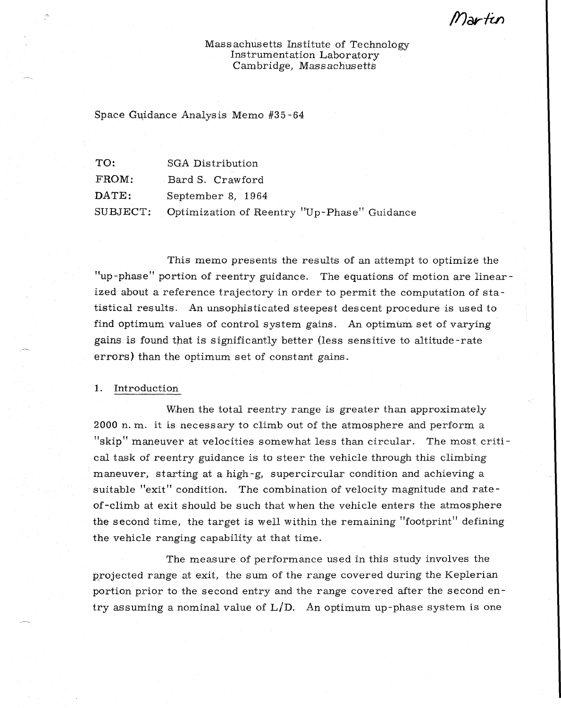ll'Iartu

Massachusetts Institute of Technology Instrumentation Laboratory Cambridge, Massachusetts

Space Guidance Analysis Memo #35-64

| TO:      | SGA Distribution                            |
|----------|---------------------------------------------|
| FROM:    | Bard S. Crawford                            |
| DATE:    | September 8, 1964                           |
| SUBJECT: | Optimization of Reentry "Up-Phase" Guidance |

This memo presents the results of an attempt to optimize the "up-phase" portion of reentry guidance. The equations of motion are linearized about a reference trajectory in order to permit the computation of statistical results. An unsophisticated steepest descent procedure is used to find optimum values of control system gains. An optimum set of varying gains is found that is significantly better (less sensitive to altitude-rate errors) than the optimum set of constant gains.

1. Introduction

When the total reentry range is greater than approximately 2000 n. m. it is necessary to climb out of the atmosphere and perform a "skip" maneuver at velocities somewhat less than circular. The most critical task of reentry guidance is to steer the vehicle through this climbing maneuver, starting at a high-g, supercircular condition and achieving a suitable "exit" condition, The combination of velocity magnitude and rateof-climb at exit should be such that when the vehicle enters the atmosphere the second time, the target is well within the remaining "footprint" defining the vehicle ranging capability at that time.

The measure of performance used in this study involves the projected range at exit, the sum of the range covered during the Keplerian portion prior to the second entry and the range covered after the second entry assuming a nominal value of  $L/D$ . An optimum up-phase system is one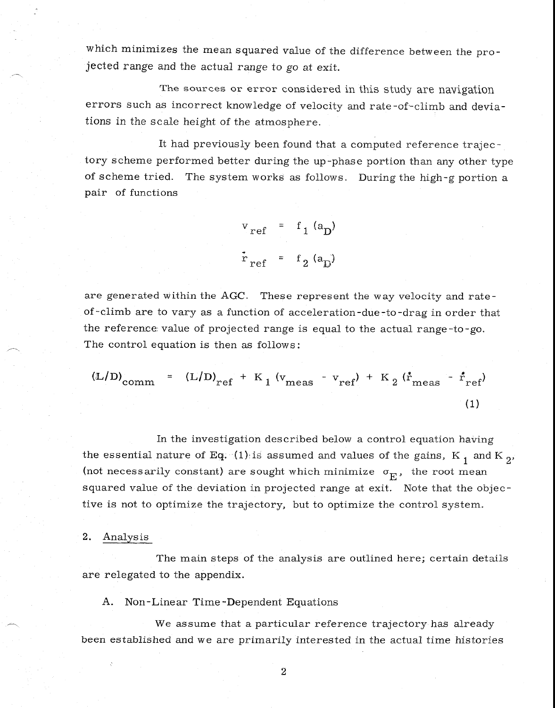which minimizes the mean squared value of the difference between the projected range and the actual range to go at exit.

The sources or error considered in this study are navigation errors such as incorrect knowledge of velocity and rate-of-climb and deviations in the scale height of the atmosphere.

It had previously been found that a computed reference trajectory scheme performed better during the up-phase portion than any other type of scheme tried. The system works as follows. During the high-g portion a pair of functions

$$
v_{ref} = f_1 (a_D)
$$
  

$$
\dot{r}_{ref} = f_2 (a_D)
$$

are generated within the AGC. These represent the way velocity and rateof-olimb are to vary as a function of acceleration-due-to-drag in order that the reference value of projected range is equal to the actual range-to-go. The control equation is then as follows:

$$
(\mathbb{L}/\mathbb{D})_{\text{comm}} = (\mathbb{L}/\mathbb{D})_{\text{ref}} + \mathbb{K}_1 (v_{\text{meas}} - v_{\text{ref}}) + \mathbb{K}_2 (\dot{r}_{\text{meas}} - \dot{r}_{\text{ref}})
$$
\n(1)

In the investigation described below a control equation having the essential nature of Eq. (1) is assumed and values of the gains, K<sub>1</sub> and K<sub>2</sub>. (not necessarily constant) are sought which minimize  $\sigma_{\overline{E}}$ , the root mean squared value of the deviation in projected range at exit. Note that the objective is not to optimize the trajectory, but to optimize the control system.

## 2. Analysis

The main steps of the analysis are outlined here; certain details are relegated to the appendix.

A. Non-Linear Time-Dependent Equations

We assume that a particular reference trajectory has already been established and we are primarily interested in the actual time histories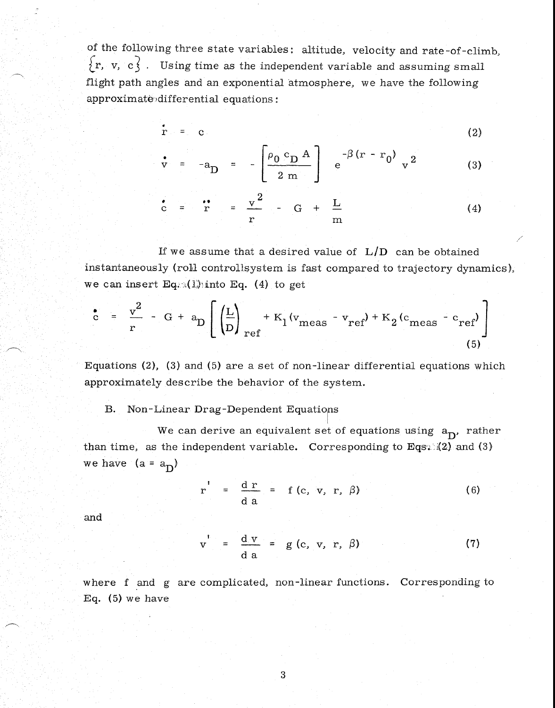of the following three state variables: altitude, velocity and rate-of-climb,  ${r, v, c}$ . Using time as the independent variable and assuming small flight path angles and an exponential atmosphere, we have the following approximate differential equations:

$$
\mathbf{r} = \mathbf{c} \tag{2}
$$

$$
r = -a_{D} = -\left[\frac{\rho_0 c_{D} A}{2 m}\right] e^{-\beta (r - r_0)} v^{2}
$$
 (3)

$$
c = \frac{1}{r} = \frac{v^2}{r} - G + \frac{L}{m}
$$
 (4)

If we assume that a desired value of  $L/D$  can be obtained instantaneously (roll controllsystem is fast compared to trajectory dynamics), we can insert Eq.  $(1)$  into Eq. (4) to get

$$
\int_{C}^{2} = \frac{v^{2}}{r} - G + a_{D} \left[ \left( \frac{L}{D} \right)_{ref} + K_{1}(v_{meas} - v_{ref}) + K_{2}(c_{meas} - c_{ref}) \right]
$$
\n(5)

Equations (2), (3) and (5) are a set of non-linear differential equations which approximately describe the behavior of the system.

B. Non-Linear Drag-Dependent Equations

We can derive an equivalent set of equations using  $a_D$ , rather than time, as the independent variable. Corresponding to Eqs.  $(2)$  and  $(3)$ we have  $(a = a_D)$ 

$$
r' = \frac{d r}{d a} = f(c, v, r, \beta)
$$
 (6)

and

$$
y' = \frac{d \, v}{d \, a} = g(c, v, r, \beta)
$$
 (7)

where f and g are complicated, non-linear functions. Corresponding to Eq. (5) we have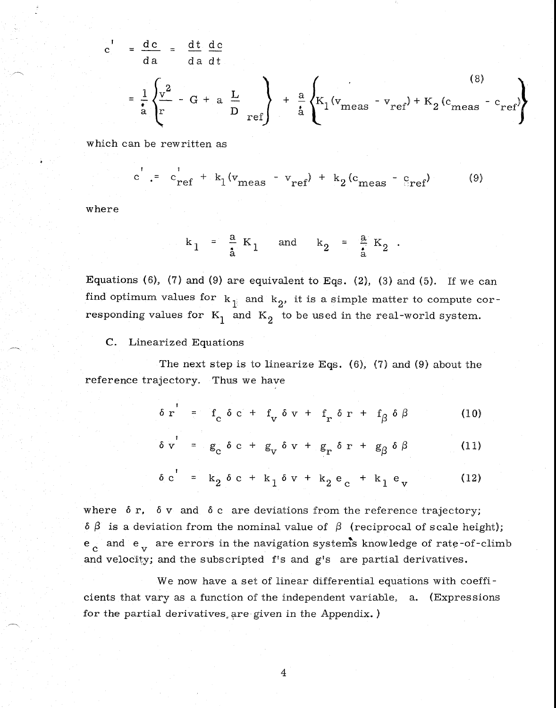$$
c' = \frac{dc}{da} = \frac{dt}{da} \frac{dc}{dt}
$$
  
=  $\frac{1}{a} \left\{ \frac{v^2}{r} - G + a \frac{L}{D} \right\} + \frac{a}{a} \left\{ K_1 (v_{\text{meas}} - v_{\text{ref}}) + K_2 (c_{\text{meas}} - c_{\text{ref}}) \right\}$  (8)

which can be rewritten as

$$
c' = c'_{ref} + k_1 (v_{meas} - v_{ref}) + k_2 (c_{meas} - c_{ref})
$$
 (9)

where

$$
k_1 = \frac{a}{a} K_1
$$
 and  $k_2 = \frac{a}{a} K_2$ .

Equations (6), (7) and (9) are equivalent to Eqs. (2), (3) and (5). If we can find optimum values for  $k_{\parallel}$  and  $k_{2}$ , it is a simple matter to compute corresponding values for  $K_1$  and  $K_2$  to be used in the real-world system.

C. Linearized Equations

The next step is to linearize Eqs.  $(6)$ ,  $(7)$  and  $(9)$  about the reference trajectory. Thus we have

$$
\delta r' = f_c \delta c + f_v \delta v + f_r \delta r + f_\beta \delta \beta \qquad (10)
$$

$$
\delta v' = g_c \delta c + g_v \delta v + g_r \delta r + g_\beta \delta \beta \qquad (11)
$$

$$
\delta c' = k_2 \delta c + k_1 \delta v + k_2 e_c + k_1 e_v \qquad (12)
$$

where  $\delta$  r,  $\delta$  v and  $\delta$  c are deviations from the reference trajectory;  $\delta \beta$  is a deviation from the nominal value of  $\beta$  (reciprocal of scale height);  $e^{\rm t}_{\rm c}$  and  $e^{\rm t}_{\rm v}$  are errors in the navigation systems knowledge of rate-of-climb and velocity; and the subscripted f's and g's are partial derivatives.

We now have a set of linear differential equations with coefficients that vary as a function of the independent variable, a. (Expressions for the partial derivatives, are given in the Appendix. )

 $\overline{4}$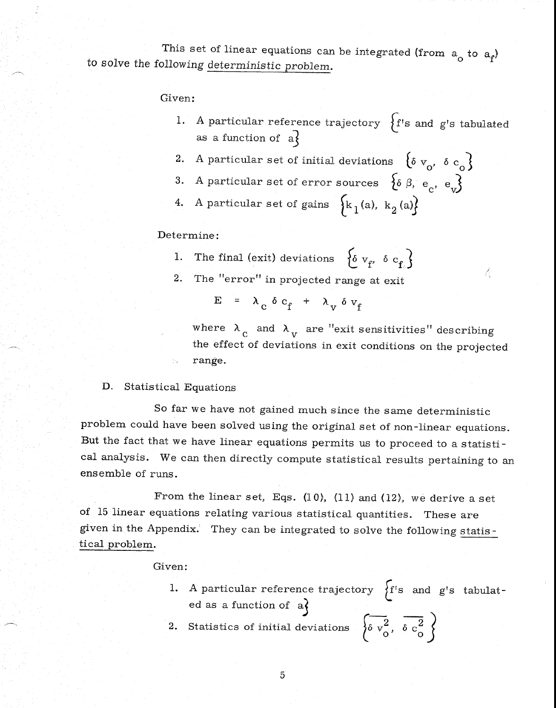This set of linear equations can be integrated (from  $a_0$  to  $a_f$ ) to solve the following deterministic problem.

Given:

- 1. A particular reference trajectory  $\{f\}$ 's and g's tabulated as a function of  $a$ }
- 2. A particular set of initial deviations  $\{ \delta v_{o}, \delta c_{o} \}$
- 3. A particular set of error sources  $\{ \delta \beta, e_c, e_u \}$
- 4. A particular set of gains  $\left\{ k_1(a), k_2(a) \right\}$

Determine:

- 1. The final (exit) deviations  $\{ \delta v_{f'} \delta c_{f} \}$
- 2. The "error" in projected range at exit

 $E = \lambda_c \delta c_f + \lambda_v \delta v_f$ 

where  $\lambda_c$  and  $\lambda_v$  are "exit sensitivities" describing the effect of deviations in exit conditions on the projected range.

A

D. Statistical Equations

So far we have not gained much since the same deterministic problem could have been solved using the original set of non-linear equations. But the fact that we have linear equations permits us to proceed to a statistical analysis. We can then directly compute statistical results pertaining to an ensemble of runs.

From the linear set, Eqs.  $(10)$ ,  $(11)$  and  $(12)$ , we derive a set of 15 linear equations relating various statistical quantities. These are given in the Appendix. They can be integrated to solve the following statistical problem.

## Given:

1. A particular reference trajectory  $\begin{cases} f's \text{ and } g's \text{ tabulator} \end{cases}$ ed as a function of  $a$ }

2. Statistics of initial deviations  $\begin{cases} \frac{1}{\delta v_0^2}, & \delta c_0^2 \end{cases}$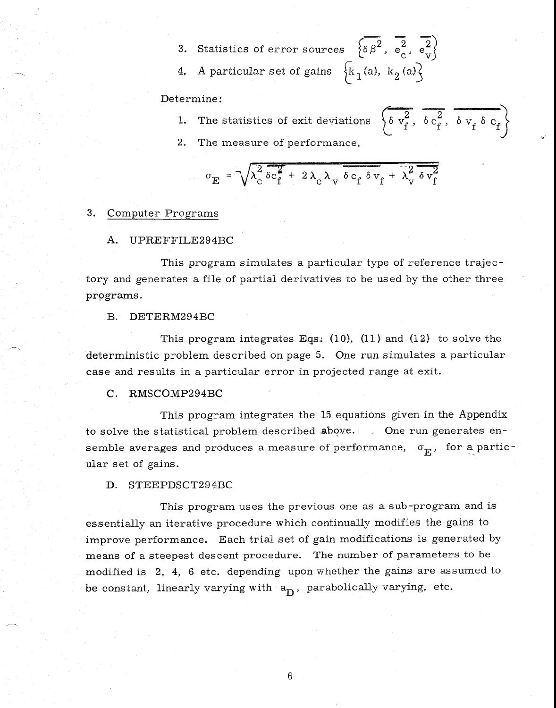- 3. Statistics of error sources  $\delta \beta^2$ ,  $e_c^2$ ,  $e_v^2$
- 4. A particular set of gains  $\{k_1(a), k_2(a)\}$

## Determine:

- 1. The statistics of exit deviations
- $\left\{\delta v_f^2, \delta c_f^2, \delta v_f \delta c_f\right\}$
- 2. The measure of performance,

$$
\sigma_E = \sqrt{\lambda_c^2 \delta c_f^2 + 2 \lambda_c \lambda_v \delta c_f \delta v_f + \lambda_v^2 \delta v_f^2}
$$

## 3. Computer Programs

## A. UPREFFILE294BC

This program simulates a particular type of reference trajectory and generates a file of partial derivatives to be used by the other three programs.

## B. DETERM294BC

This program integrates Eqs:  $(10)$ ,  $(11)$  and  $(12)$  to solve the deterministic problem described on page 5. One run simulates a particular case and results in a particular error in projected range at exit.

## C. RMSCOMP294BC

This program integrates the 15 equations given in the Appendix to solve the statistical problem described above. One run generates ensemble averages and produces a measure of performance,  $\sigma_{\rm E}$ , for a particular set of gains.

## D. STEEPDSCT294BC

This program uses the previous one as a sub-program and is essentially an iterative procedure which continually modifies the gains to improve performance. Each trial set of gain modifications is generated by means of a steepest descent procedure. The number of parameters to be modified is 2, 4, 6 etc. depending upon whether the gains are assumed to be constant, linearly varying with  $a_{\text{D}}$ , parabolically varying, etc.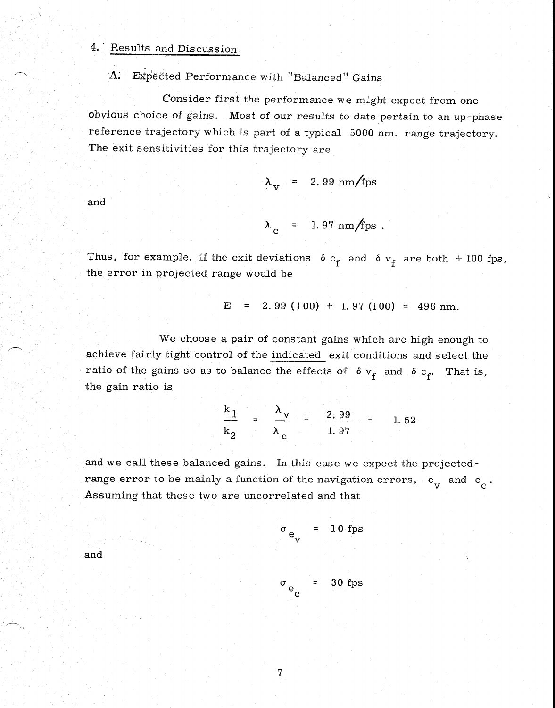#### $4.$ Results and Discussion

## A. Expected Performance with "Balanced" Gains

Consider first the performance we might expect from one obvious choice of gains. Most of our results to date pertain to an up-phase reference trajectory which is part of a typical 5000 nm. range trajectory. The exit sensitivities for this trajectory are

$$
\lambda_{\rm v} = 2.99 \text{ nm/fps}
$$

and

$$
\lambda_c = 1.97 \text{ nm/fps}.
$$

Thus, for example, if the exit deviations  $\delta c_f$  and  $\delta v_f$  are both + 100 fps, the error in projected range would be

$$
E = 2.99 (100) + 1.97 (100) = 496 nm.
$$

We choose a pair of constant gains which are high enough to achieve fairly tight control of the indicated exit conditions and select the ratio of the gains so as to balance the effects of  $\delta v_f$  and  $\delta c_f$ . That is, the gain ratio is

$$
\frac{k_1}{k_2} = \frac{\lambda_v}{\lambda_c} = \frac{2.99}{1.97} = 1.52
$$

and we call these balanced gains. In this case we expect the projectedrange error to be mainly a function of the navigation errors,  $e_V^+$  and  $e_C^+$ Assuming that these two are uncorrelated and that

c

$$
\sigma_{e_V} = 10 \text{ fps}
$$
  

$$
\sigma_{e_V} = 30 \text{ fps}
$$

and

$$
\mathbf{7}^{\prime}
$$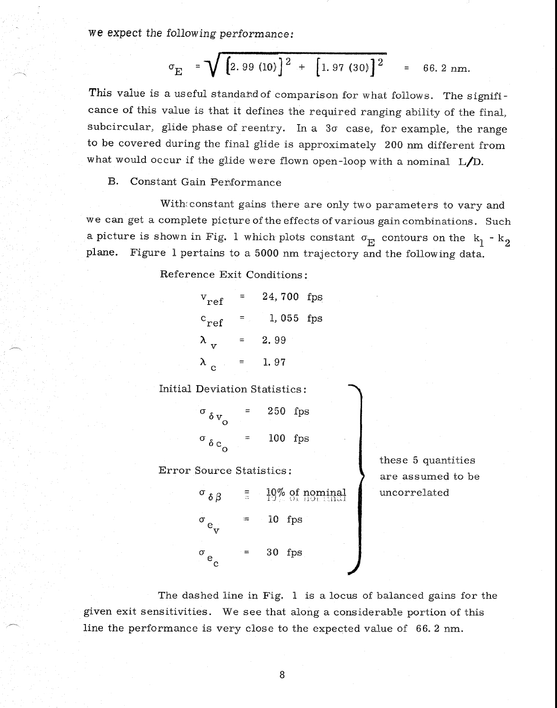we expect the following *performance:* 

$$
\sigma_E
$$
 =  $\sqrt{2.99 (10)^2 + [1.97 (30)]^2}$  = 66.2 nm.

This value is a useful standard of comparison for what follows. The significance of this value is that it defines the required ranging ability of the final, subcircular, glide phase of reentry. In a  $3\sigma$  case, for example, the range to be covered during the final glide is approximately 200 nm different from what would occur if the glide were flown open-loop with a nominal L/D.

B. Constant Gain Performance

With constant gains there are only two parameters to vary and we can get a complete picture of the effects of various gain combinations. Such a picture is shown in Fig. 1 which plots constant  $\sigma_{\overline{E}}$  contours on the  $k_1 - k_2$ plane. Figure 1 pertains to a 5000 nm trajectory and the following data.

Reference Exit Conditions:

|   | 24,700 fps |  |
|---|------------|--|
|   | 1,055 fps  |  |
| = | 2.99       |  |
|   | 1.97       |  |
|   |            |  |

Initial Deviation Statistics:

<sup>a</sup>*6 v* = 250 fps  $\sigma_{\delta v_{\rm o}}$  =  $\delta$  c<sub>o</sub> = 100 fps

Error Source Statistics:

 $-19\%$  of nominal  $\sigma$   $\delta$   $\beta$  $=$  10 fps  $\sigma$  $\mathbf{v}^{\mathcal{I}}$ 30 fps  $\gamma = 1$  $\sigma$  $\mathbf{e}$ 

these 5 quantities are assumed to be uncorrelated

The dashed line in Fig. 1 is a locus of balanced gains for the given exit sensitivities. We see that along a considerable portion of this line the performance is very close to the expected value of 66. 2 nm.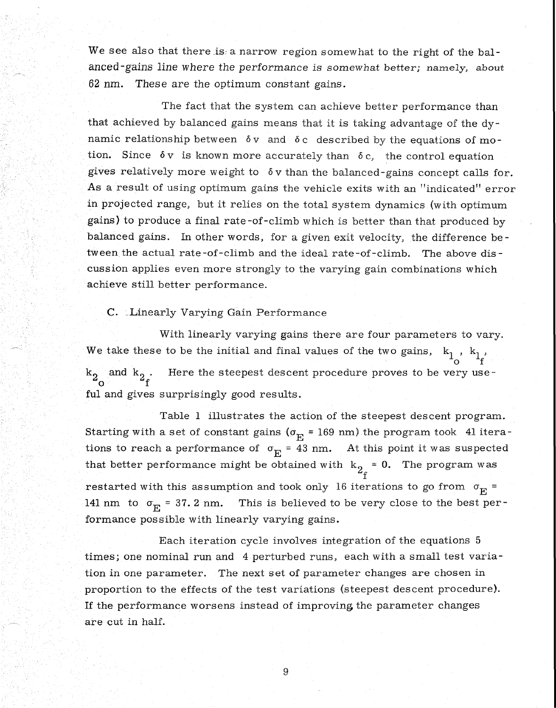We see also that there is a narrow region somewhat to the right of the balanced -gains line where the *performance* is somewhat better; namely, about 62 nm. These are the optimum constant gains.

The fact that the system can achieve better performance than that achieved by balanced gains means that it is taking advantage of the dynamic relationship between  $\delta y$  and  $\delta c$  described by the equations of motion. Since  $\delta v$  is known more accurately than  $\delta c$ , the control equation gives relatively more weight to  $\delta v$  than the balanced-gains concept calls for. As a result of using optimum gains the vehicle exits with an "indicated" error in projected range, but it relies on the total system dynamics (with optimum gains) to produce a final rate-of-climb which is better than that produced by balanced gains. In other words, for a given exit velocity, the difference be tween the actual rate-of-climb and the ideal rate-of-climb. The above discussion applies even more strongly to the varying gain combinations which achieve still better performance.

## C. Linearly Varying Gain Performance

With linearly varying gains there are four parameters to vary. We take these to be the initial and final values of the two gains,  $k_1^-, k_1^-,$  $f^{\dagger}$  o  $_2$  and  $\mathrm{k}_2$  . Here the steepest descent procedure proves to be very use  $\circ$   $\circ$  f ful and gives surprisingly good results.

Table 1 illustrates the action of the steepest descent program. Starting with a set of constant gains ( $\sigma_E$  = 169 nm) the program took 41 iterations to reach a performance of  $\sigma_{\rm E}$  = 43 nm. At this point it was suspected that better performance might be obtained with  $k_2 = 0$ . The program was f restarted with this assumption and took only 16 iterations to go from  $\sigma_{\overline{E}}$  = 141 nm to  $\sigma_{\overline{E}}$  = 37. 2 nm. This is believed to be very close to the best performance possible with linearly varying gains.

Each iteration cycle involves integration of the equations 5 times; one nominal run and 4 perturbed runs, each with a small test variation in one parameter. The next set of parameter changes are chosen in proportion to the effects of the test variations (steepest descent procedure). If the performance worsens instead of improving the parameter changes are cut in half.

9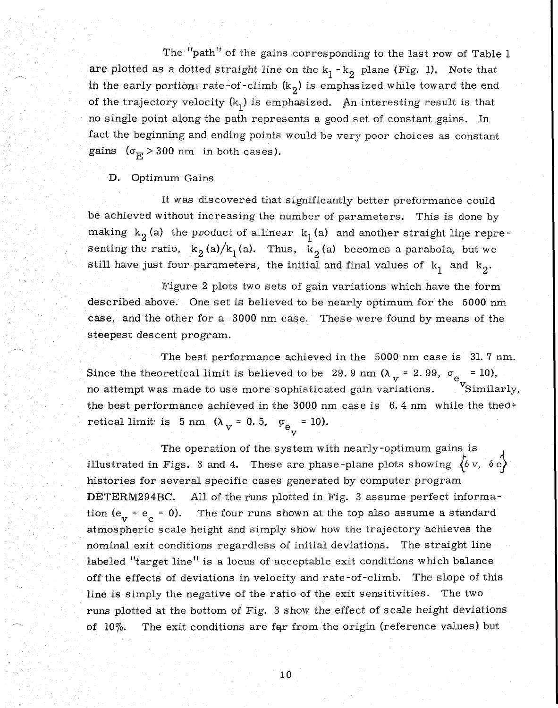The "path" of the gains corresponding to the last row of Table 1 are plotted as a dotted straight line on the  $k_1 - k_2$  plane *(Fig. 1)*. Note that in the early portion rate-of-climb  $(k_2)$  is emphasized while toward the end of the trajectory velocity  $(k_1)$  is emphasized. An interesting result is that no single point along the path represents a good set of constant gains. In fact the beginning and ending points would be very poor choices as constant gains  $(\sigma_{\overline{E}} > 300 \text{ nm}$  in both cases).

## D. Optimum Gains

It was discovered that significantly better preformance could be achieved without increasing the number of parameters. This is done by making  $k_2$  (a) the product of allinear  $k_1$  (a) and another straight line representing the ratio,  $k_2(a)/k_1(a)$ . Thus,  $k_2(a)$  becomes a parabola, but we still have just four parameters, the initial and final values of  $k_1$  and  $k_2$ .

Figure 2 plots two sets of gain variations which have the form described above. One set is believed to be nearly optimum for the 5000 nm case, and the other for a 3000 nm. case. These were found by means of the steepest descent program.

The best performance achieved in the 5000 nm case is 31. 7 nm. Since the theoretical limit is believed to be 29.9 nm  $(\lambda_{\text{v}} = 2.99, \sigma_{\text{e}_{\text{v}}} = 10)$ , no attempt was made to use more sophisticated gain variations. Similarly, the best performance achieved in the 3000 nm case is  $6.4$  nm while the theoretical limit is 5 nm  $(\lambda_V = 0.5, \alpha_{e_{1r}} = 10)$ .

The operation of the system with nearly-optimum gains is illustrated in Figs. 3 and 4. These are phase-plane plots showing  $\langle \delta v, \delta c \rangle$ histories for several specific cases generated by computer program DETERM294BC. All of the runs plotted in Fig. 3 assume perfect information ( $e_v = e_c = 0$ ). The four runs shown at the top also assume a standard atmospheric scale height and simply show how the trajectory achieves the nominal exit conditions regardless of initial deviations. The straight line labeled "target line" is a locus of acceptable exit conditions which balance off the effects of deviations in velocity and rate-of-climb. The slope of this line is simply the negative of the ratio of the exit sensitivities. The two runs plotted at the bottom of Fig. 3 show the effect of scale height deviations of 10%. The exit conditions are fqr from the origin (reference values) but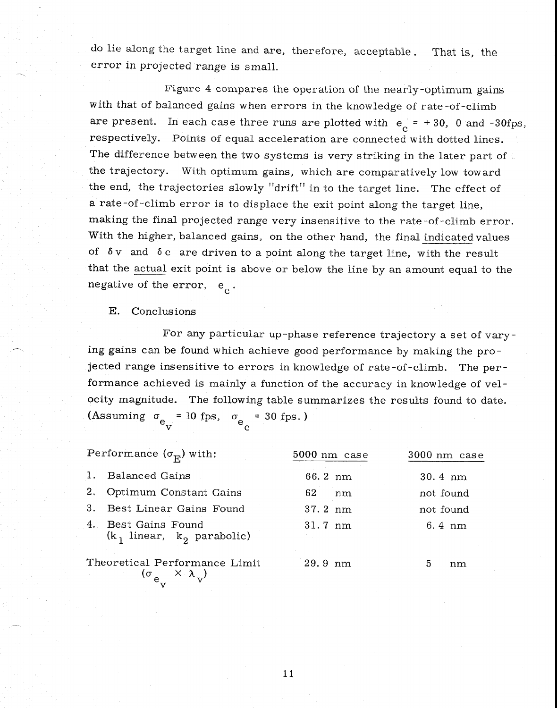do lie along the target line and are, therefore, acceptable. That is, the error in projected range is small.

Figure 4 compares the operation of the nearly-optimum gains with that of balanced gains when errors in the knowledge of rate-of-climb are present. In each case three runs are plotted with  $e_c = +30$ , 0 and -30fps, respectively. Points of equal acceleration are connected with dotted lines. The difference between the two systems is very striking in the later part of  $\zeta$ the trajectory. With optimum gains, which are comparatively low toward the end, the trajectories slowly "drift" in to the target line. The effect of a rate -of-climb error is to displace the exit point along the target line, making the final projected range very insensitive to the rate-of-climb error. With the higher, balanced gains, on the other hand, the final indicated values of  $\delta v$  and  $\delta c$  are driven to a point along the target line, with the result that the actual exit point is above or below the line by an amount equal to the negative of the error,  $e_{c}$ .

E, Conclusions

For any particular up-phase reference trajectory a set of varying gains can be found which achieve good performance by making the projected range insensitive to errors in knowledge of rate-of-climb. The performance achieved is mainly a function of the accuracy in knowledge of velocity magnitude. The following table summarizes the results found to date. (Assuming  $\sigma_{\rm e_{\rm yr}} = 10$  fps,  $\sigma_{\rm e_{\rm g}} = 30$  fps.)

| Performance $(\sigma_{\overline{R}})$ with: |                                                                                | 5000 nm case      | 3000 nm case      |  |
|---------------------------------------------|--------------------------------------------------------------------------------|-------------------|-------------------|--|
| 1.                                          | <b>Balanced Gains</b>                                                          | 66.2 nm           | $30.4 \text{ nm}$ |  |
| 2.                                          | Optimum Constant Gains                                                         | 62.<br>nm         | not found         |  |
| 3.                                          | Best Linear Gains Found                                                        | 37.2 nm           | not found         |  |
|                                             | 4. Best Gains Found<br>$(k_1$ linear, $k_2$ parabolic)                         | $31.7 \text{ nm}$ | 6.4 nm            |  |
|                                             | Theoretical Performance Limit<br>$(\sigma_{e_{\rm v}} \times \lambda_{\rm v})$ | $29.9 \text{ nm}$ | 5<br>nm           |  |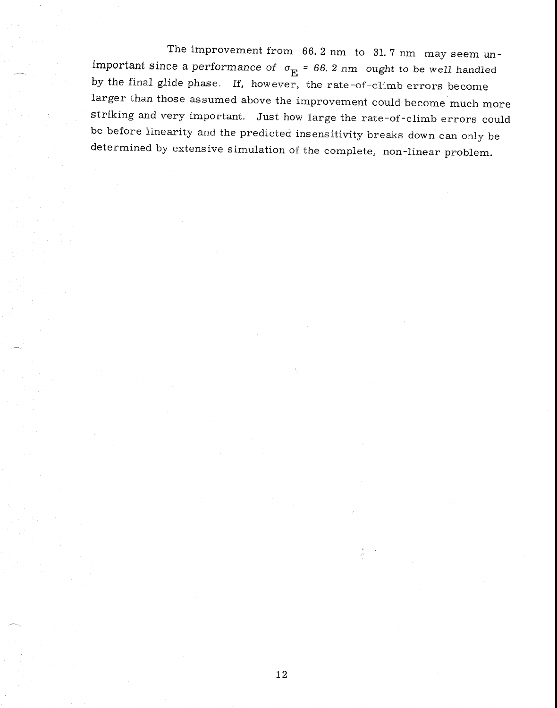The improvement from 66. 2 nm to 31. 7 nm may seem unimportant since a performance of  $\sigma_{\overline{E}}$  = 66. 2 nm ought to be well handled by the final glide phase. If, however, the rate-of-climb errors become larger than those assumed above the improvement could become much more striking and very important. Just how large the rate-of-climb errors could be before linearity and the predicted insensitivity breaks down can only be determined by extensive simulation of the complete, non-linear problem.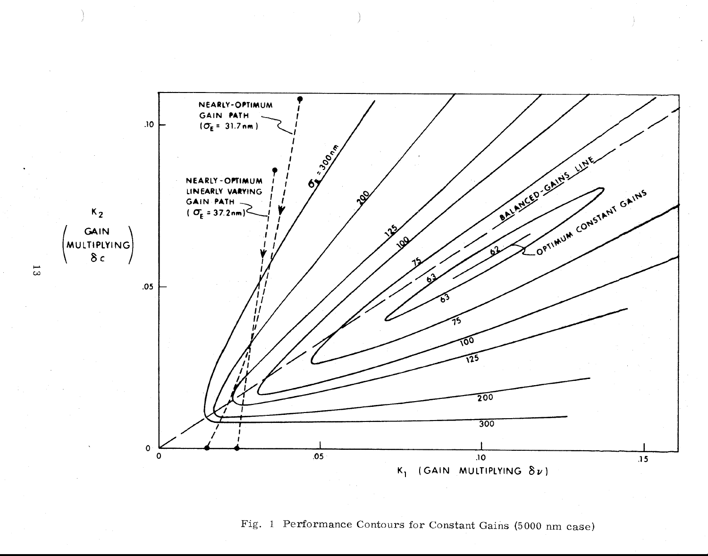

# Fig. 1 Performance Contours for Constant Gains (5000 nm case)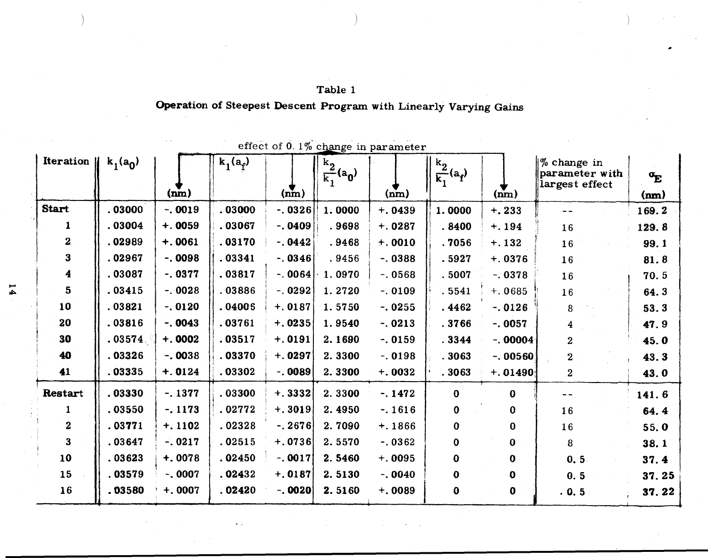| Table 1                                                           |  |
|-------------------------------------------------------------------|--|
| Operation of Steepest Descent Program with Linearly Varying Gains |  |

| Iteration $\parallel$   | $k_1(a_0)$ |           | $k_1(a_f)$ |           | $\frac{k_2}{k_1}(a_0)$ | $\sim$    | $\frac{k_2}{k_1}(a_f)$ |             | $%$ change in<br>parameter with | $\sigma_{\mathbf{E}}$ |
|-------------------------|------------|-----------|------------|-----------|------------------------|-----------|------------------------|-------------|---------------------------------|-----------------------|
|                         |            | (nm)      |            | (nm)      |                        | (nm)      |                        | (nm)        | largest effect                  | (nm)                  |
| <b>Start</b>            | .03000     | $-0.0019$ | .03000     | $-0.0326$ | 1.0000                 | $+.0439$  | 1.0000                 | $+.233$     | $- -$                           | 169.2                 |
|                         | .03004     | $+.0059$  | .03067     | $-.0409$  | .9698                  | $+.0287$  | .8400                  | $+.194$     | 16                              | 129.8                 |
| $\boldsymbol{2}$        | .02989     | $+.0061$  | .03170     | $-0.0442$ | .9468                  | $+.0010$  | .7056                  | $+.132$     | 16                              | 99.1                  |
| $\mathbf{3}$            | .02967     | $-.0098$  | .03341     | $-0.0346$ | .9456                  | $-0.0388$ | .5927                  | $+.0376$    | 16                              | 81.8                  |
| $\overline{\mathbf{4}}$ | .03087     | $-.0377$  | .03817     | $-.0064$  | 1.0970                 | $-.0568$  | .5007                  | $-.0378$    | 16                              | 70.5                  |
| $5\phantom{.}$          | .03415     | $-.0028$  | .03886     | $-.0292$  | 1.2720                 | $-.0109$  | .5541                  | $+.0685$    | 16                              | 64.3                  |
| 10                      | .03821     | $-.0120$  | .04005     | $+.0187$  | 1.5750                 | $-0.0255$ | .4462                  | $-.0126$    | 8                               | 53.3                  |
| 20                      | .03816     | $-0.0043$ | .03761     | $+.0235$  | 1.9540                 | $-0.0213$ | .3766                  | $-0.0057$   | 4                               | 47.9                  |
| 30                      | .03574.    | $+.0002$  | .03517     | $+.0191$  | 2.1690                 | $-.0159$  | .3344                  | $-.00004$   | $\overline{2}$                  | 45.0                  |
| 40                      | .03326     | $-.0038$  | .03370     | $+.0297$  | 2.3300                 | $-0.0198$ | .3063                  | $-.00560$   | $\bf{2}$                        | 43.3                  |
| 41                      | .03335     | $+.0124$  | .03302     | $-.0089$  | 2.3300                 | $+.0032$  | .3063                  | $+.01490$   | $\overline{\mathbf{2}}$         | 43.0                  |
| Restart                 | .03330     | $-.1377$  | .03300     | $+.3332$  | 2.3300                 | $-.1472$  | $\bf{0}$               | $\bf{0}$    | $= -$                           | 141.6                 |
|                         | .03550     | $-.1173$  | .02772     | $+.3019$  | 2.4950                 | $-.1616$  | $\mathbf 0$            | $\bf{0}$    | 16                              | 64.4                  |
| $\mathbf{2}$            | .03771     | $+.1102$  | .02328     | $-0.2676$ | 2.7090                 | $+.1866$  | 0                      | $\bf{0}$    | 16                              | 55.0                  |
| $\mathbf{3}$            | .03647     | $-.0217$  | .02515     | $+.0736$  | 2.5570                 | $-0.0362$ | 0                      | $\bf{0}$    | 8                               | 38.1                  |
| 10                      | .03623     | $+.0078$  | .02450     | $-0.0017$ | 2.5460                 | $+.0095$  | $\bf{0}$               | $\mathbf 0$ | 0.5                             | 37.4                  |
| 15                      | .03579     | $-.0007$  | .02432     | $+.0187$  | 2.5130                 | $-0.040$  | $\bf{0}$               | $\mathbf 0$ | 0.5                             | 37.25                 |
| 16                      | .03580     | $+.0007$  | .02420     | $-.0020$  | 2.5160                 | $+.0089$  | $\bf{0}$               | $\bf{0}$    | .0.5                            | 37.22                 |

effect of  $0.1\%$  change in parameter

 $\overline{1}$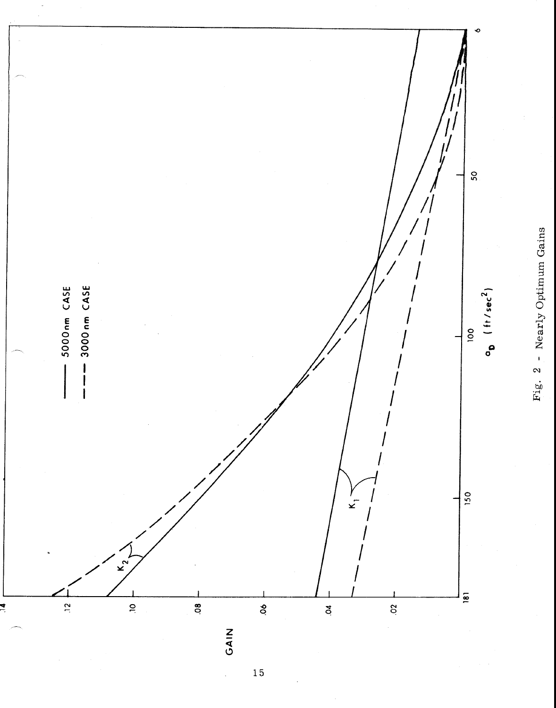

Fig. 2 - Nearly Optimum Gains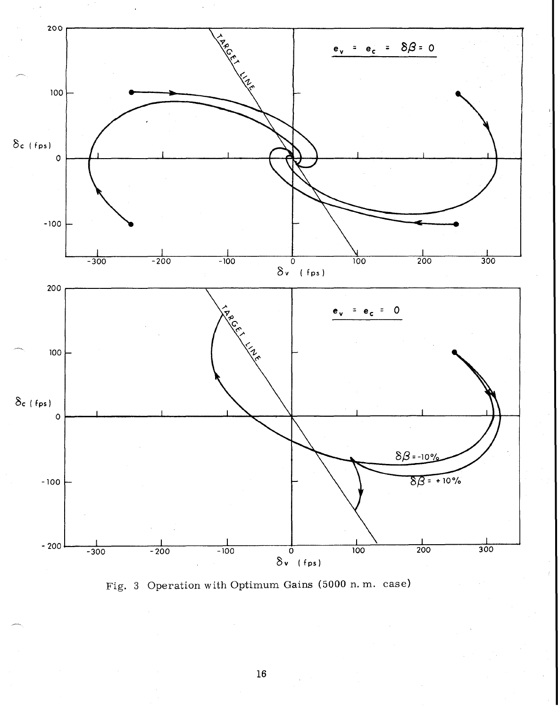

Fig. 3 Operation with Optimum Gains (5000 n. m. case)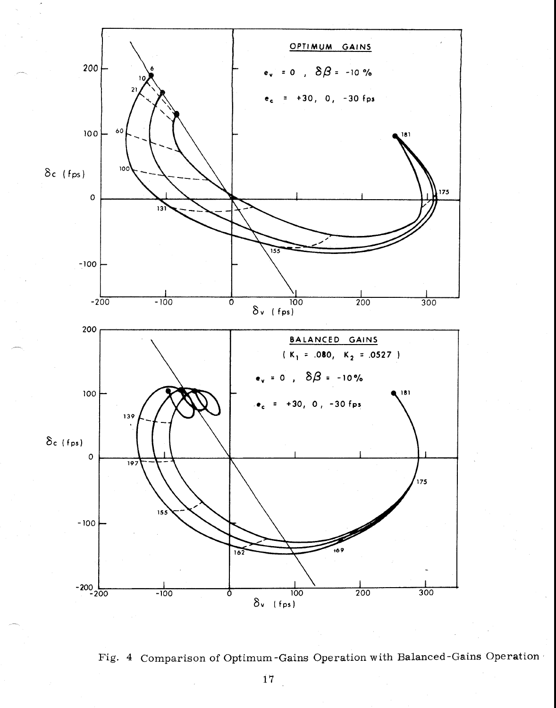

Fig. 4 Comparison of Optimum-Gains Operation with Balanced-Gains Operation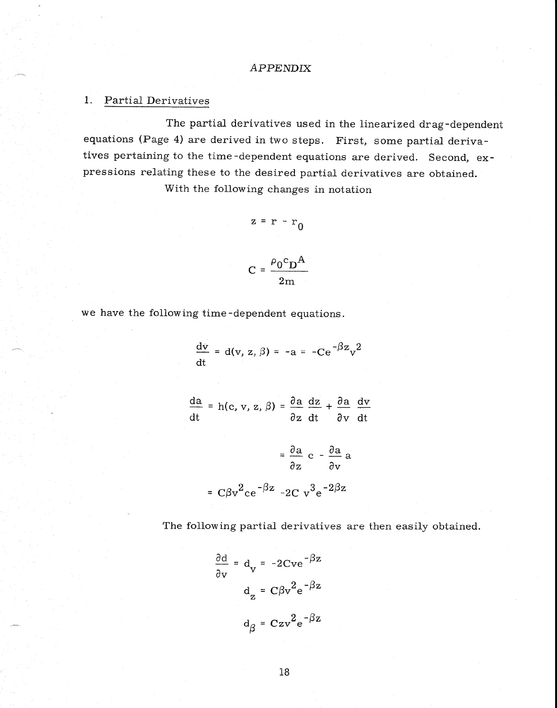## APPENDIX

## 1. Partial Derivatives

The partial derivatives used in the linearized drag-dependent equations (Page 4) are derived in two steps. First, some partial derivatives pertaining to the time-dependent equations are derived. Second, expressions relating these to the desired partial derivatives are obtained.

With the following changes in notation

$$
z = r - r_0
$$

 $C = \frac{\rho_0 c_D A}{r}$ 

$$
2m
$$

we have the following time-dependent equations.

$$
\frac{dv}{dt} = d(v, z, \beta) = -a = -Ce^{-\beta z}v^2
$$

 $\frac{da}{dt} = h(c, v, z, \beta) = \frac{\partial a}{\partial z} \frac{dz}{dt} + \frac{\partial a}{\partial v} \frac{dv}{dt}$  $\frac{\partial a}{\partial x}$  c -  $\frac{\partial a}{\partial x}$  a *a z av*  =  $C\beta v^2 c e^{-\beta z}$  -2C  $v^3 e^{-2\beta z}$ 

The following partial derivatives are then easily obtained.

$$
\frac{\partial d}{\partial v} = d_v = -2Cve^{-\beta z}
$$

$$
d_z = C\beta v^2 e^{-\beta z}
$$

$$
d_\beta = Czv^2 e^{-\beta z}
$$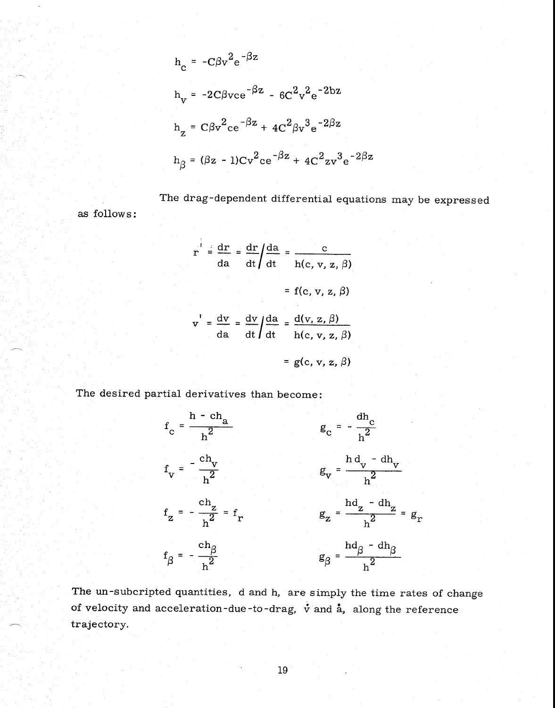$$
h_c = -C\beta v^2 e^{-\beta z}
$$
  
\n
$$
h_v = -2C\beta v c e^{-\beta z} - 6C^2 v^2 e^{-2bz}
$$
  
\n
$$
h_z = C\beta v^2 c e^{-\beta z} + 4C^2 \beta v^3 e^{-2\beta z}
$$
  
\n
$$
h_\beta = (\beta z - 1)Cv^2 c e^{-\beta z} + 4C^2 z v^3 e^{-2\beta z}
$$

The drag-dependent differential equations may be expressed as follows:

$$
r = \frac{dr}{da} = \frac{dr}{dt} = \frac{d}{dt} = \frac{c}{h(c, v, z, \beta)}
$$
  
= f(c, v, z, \beta)  

$$
v' = \frac{dv}{da} = \frac{dv}{dt} = \frac{d}{dt} \frac{d(v, z, \beta)}{h(c, v, z, \beta)}
$$
  
= g(c, v, z, \beta)

The desired partial derivatives than become:



The un-subcripted quantities, d and h, are simply the time rates of change of velocity and acceleration-due-to-drag,  $\dot{v}$  and  $\dot{a}$ , along the reference trajectory.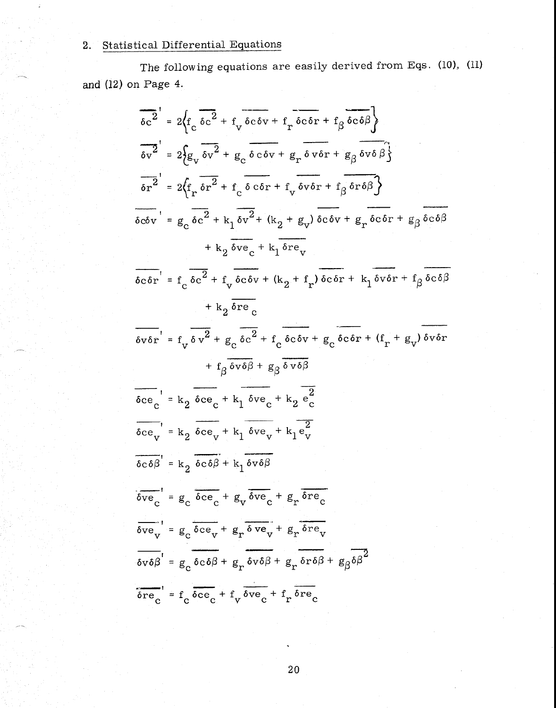# 2. Statistical Differential Equations

The following equations are easily derived from Eqs. (10), (11) and  $(12)$  on Page 4.

$$
\frac{1}{6c^2} = 2\left\{f_c \frac{1}{6c^2} + f_v \frac{1}{6c^2} + f_r \frac{1}{6c^2} + f_r \frac{1}{6c^2} + f_s \frac{1}{6c^2} + f_s \frac{1}{6c^2} + f_s \frac{1}{6c^2} + f_s \frac{1}{6c^2} + f_s \frac{1}{6c^2} + f_s \frac{1}{6c^2} + f_s \frac{1}{6c^2} + f_s \frac{1}{6c^2} + f_s \frac{1}{6c^2} + f_s \frac{1}{6c^2} + f_s \frac{1}{6c^2} + f_s \frac{1}{6c^2} + f_s \frac{1}{6c^2} + f_s \frac{1}{6c^2} + f_s \frac{1}{6c^2} + f_s \frac{1}{6c^2} + f_s \frac{1}{6c^2} + f_s \frac{1}{6c^2} + f_s \frac{1}{6c^2} + f_s \frac{1}{6c^2} + f_s \frac{1}{6c^2} + f_s \frac{1}{6c^2} + f_s \frac{1}{6c^2} + f_s \frac{1}{6c^2} + f_s \frac{1}{6c^2} + f_s \frac{1}{6c^2} + f_s \frac{1}{6c^2} + f_s \frac{1}{6c^2} + f_s \frac{1}{6c^2} + f_s \frac{1}{6c^2} + f_s \frac{1}{6c^2} + f_s \frac{1}{6c^2} + f_s \frac{1}{6c^2} + f_s \frac{1}{6c^2} + f_s \frac{1}{6c^2} + f_s \frac{1}{6c^2} + f_s \frac{1}{6c^2} + f_s \frac{1}{6c^2} + f_s \frac{1}{6c^2} + f_s \frac{1}{6c^2} + f_s \frac{1}{6c^2} + f_s \frac{1}{6c^2} + f_s \frac{1}{6c^2} + f_s \frac{1}{6c^2} + f_s \frac{1}{6c^2} + f_s \frac{1}{6c^2} + f_s \frac{1}{6c^2} + f_s \frac{1}{6c^2} + f_s \frac{1}{6c^2} + f_s \frac{1}{6c^2} + f_s \frac{1}{6c^2} + f_s \frac{1}{6c^2} + f_s \frac{1}{6c^2} + f_s
$$

 $2\overset{\cdot}{0}$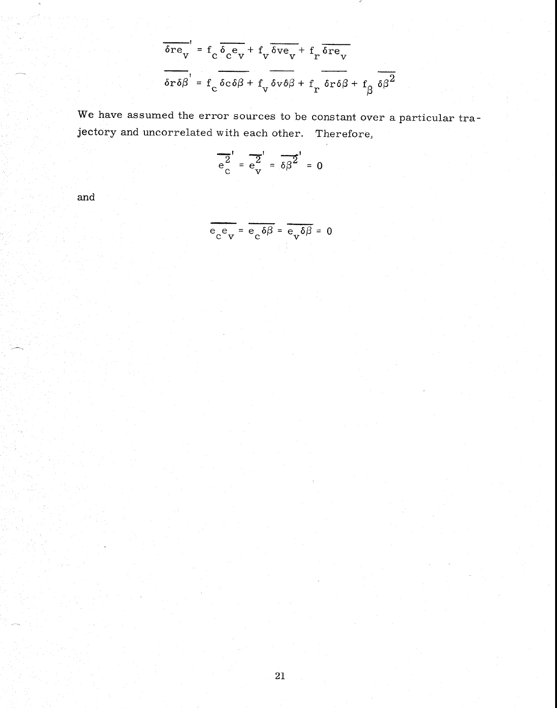$$
\frac{\delta \mathbf{r} \mathbf{e}_{v}}{\delta \mathbf{r} \delta \beta} = \mathbf{f}_{c} \frac{\delta_{c} \mathbf{e}_{v}}{\delta \mathbf{r} \delta \beta} + \mathbf{f}_{v} \frac{\delta \mathbf{v} \mathbf{e}_{v}}{\delta \mathbf{v} \delta \beta} + \mathbf{f}_{r} \frac{\delta \mathbf{r} \mathbf{e}_{v}}{\delta \mathbf{r} \delta \beta} + \mathbf{f}_{\beta} \frac{\delta \beta^{2}}{\delta \beta^{2}}
$$

We have assumed the error sources to be constant over a particular trajectory and uncorrelated with each other. Therefore,

$$
\frac{1}{e^2} = \frac{1}{e^2} = \frac{1}{e^2} = 0
$$

and

$$
\frac{e_{\rm c}e_{\rm v}}{e_{\rm c}e_{\rm v}} = \frac{e_{\rm c}\delta\beta}{e_{\rm c}\delta\beta} = \frac{e_{\rm v}\delta\beta}{e_{\rm v}\delta\beta} = 0
$$